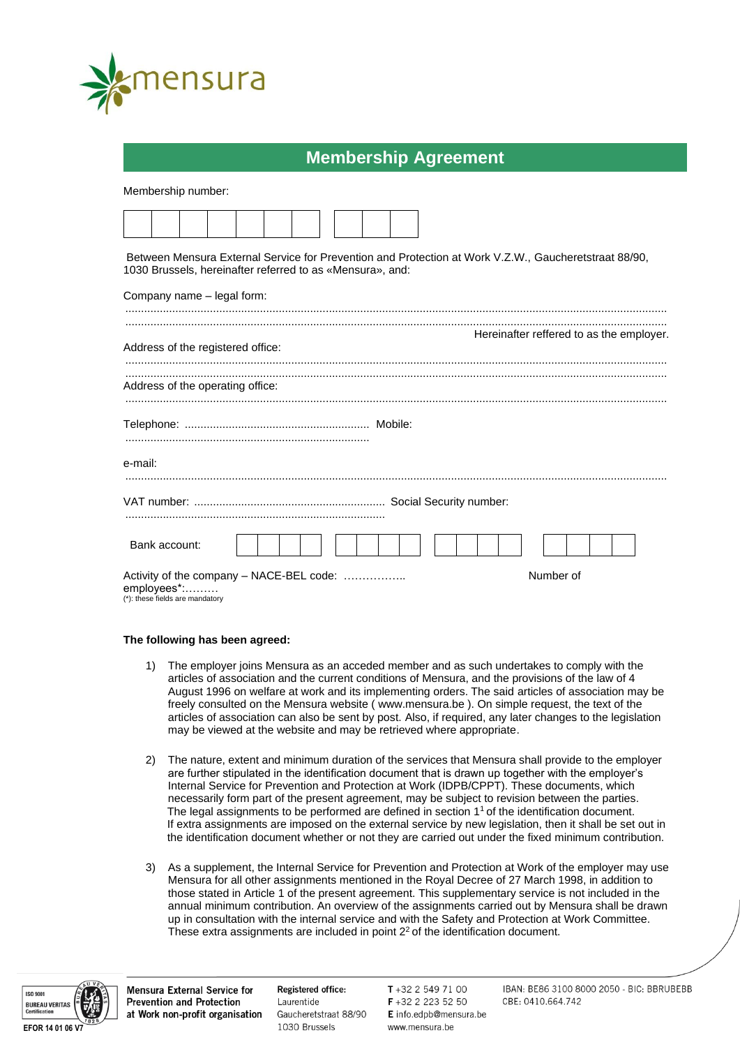

## **Membership Agreement**

Membership number:

Between Mensura External Service for Prevention and Protection at Work V.Z.W., Gaucheretstraat 88/90, 1030 Brussels, hereinafter referred to as «Mensura», and:

| Address of the registered office:                                                          | Hereinafter reffered to as the employer. |
|--------------------------------------------------------------------------------------------|------------------------------------------|
| Address of the operating office:                                                           |                                          |
|                                                                                            |                                          |
| e-mail:                                                                                    |                                          |
|                                                                                            |                                          |
| Bank account:                                                                              |                                          |
| Activity of the company - NACE-BEL code:<br>employees*:<br>(*): these fields are mandatory | Number of                                |

## **The following has been agreed:**

- 1) The employer joins Mensura as an acceded member and as such undertakes to comply with the articles of association and the current conditions of Mensura, and the provisions of the law of 4 August 1996 on welfare at work and its implementing orders. The said articles of association may be freely consulted on the Mensura website ( www.mensura.be ). On simple request, the text of the articles of association can also be sent by post. Also, if required, any later changes to the legislation may be viewed at the website and may be retrieved where appropriate.
- 2) The nature, extent and minimum duration of the services that Mensura shall provide to the employer are further stipulated in the identification document that is drawn up together with the employer's Internal Service for Prevention and Protection at Work (IDPB/CPPT). These documents, which necessarily form part of the present agreement, may be subject to revision between the parties. The legal assignments to be performed are defined in section 1<sup>1</sup> of the identification document. If extra assignments are imposed on the external service by new legislation, then it shall be set out in the identification document whether or not they are carried out under the fixed minimum contribution.
- 3) As a supplement, the Internal Service for Prevention and Protection at Work of the employer may use Mensura for all other assignments mentioned in the Royal Decree of 27 March 1998, in addition to those stated in Article 1 of the present agreement. This supplementary service is not included in the annual minimum contribution. An overview of the assignments carried out by Mensura shall be drawn up in consultation with the internal service and with the Safety and Protection at Work Committee. These extra assignments are included in point 2<sup>2</sup> of the identification document.



**Mensura External Service for Prevention and Protection** at Work non-profit organisation Registered office: Laurentide Gaucheretstraat 88/90 1030 Brussels

T+32 2 549 71 00 F +32 2 223 52 50 E info.edpb@mensura.be www.mensura.be

IBAN: BE86 3100 8000 2050 - BIC: BBRUBEBB CBE: 0410.664.742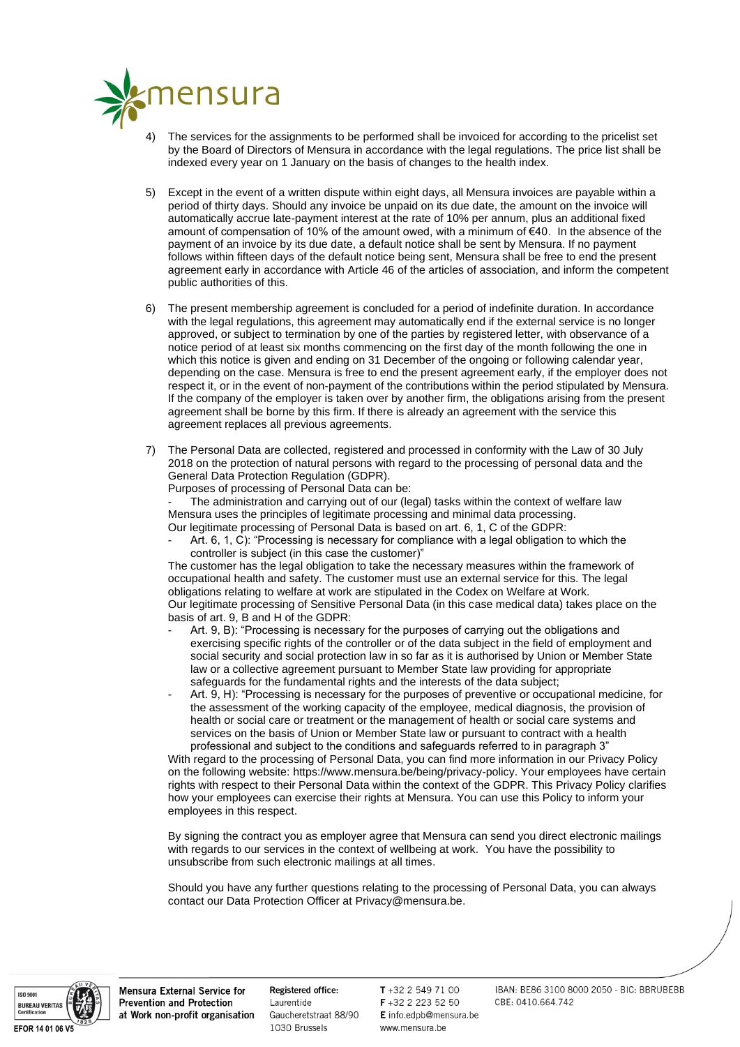

- The services for the assignments to be performed shall be invoiced for according to the pricelist set by the Board of Directors of Mensura in accordance with the legal regulations. The price list shall be indexed every year on 1 January on the basis of changes to the health index.
- 5) Except in the event of a written dispute within eight days, all Mensura invoices are payable within a period of thirty days. Should any invoice be unpaid on its due date, the amount on the invoice will automatically accrue late-payment interest at the rate of 10% per annum, plus an additional fixed amount of compensation of 10% of the amount owed, with a minimum of €40. In the absence of the payment of an invoice by its due date, a default notice shall be sent by Mensura. If no payment follows within fifteen days of the default notice being sent, Mensura shall be free to end the present agreement early in accordance with Article 46 of the articles of association, and inform the competent public authorities of this.
- 6) The present membership agreement is concluded for a period of indefinite duration. In accordance with the legal regulations, this agreement may automatically end if the external service is no longer approved, or subject to termination by one of the parties by registered letter, with observance of a notice period of at least six months commencing on the first day of the month following the one in which this notice is given and ending on 31 December of the ongoing or following calendar year. depending on the case. Mensura is free to end the present agreement early, if the employer does not respect it, or in the event of non-payment of the contributions within the period stipulated by Mensura. If the company of the employer is taken over by another firm, the obligations arising from the present agreement shall be borne by this firm. If there is already an agreement with the service this agreement replaces all previous agreements.
- 7) The Personal Data are collected, registered and processed in conformity with the Law of 30 July 2018 on the protection of natural persons with regard to the processing of personal data and the General Data Protection Regulation (GDPR).

Purposes of processing of Personal Data can be:

The administration and carrying out of our (legal) tasks within the context of welfare law Mensura uses the principles of legitimate processing and minimal data processing. Our legitimate processing of Personal Data is based on art. 6, 1, C of the GDPR:

Art. 6, 1, C): "Processing is necessary for compliance with a legal obligation to which the controller is subject (in this case the customer)"

The customer has the legal obligation to take the necessary measures within the framework of occupational health and safety. The customer must use an external service for this. The legal obligations relating to welfare at work are stipulated in the Codex on Welfare at Work. Our legitimate processing of Sensitive Personal Data (in this case medical data) takes place on the basis of art. 9, B and H of the GDPR:

- Art. 9, B): "Processing is necessary for the purposes of carrying out the obligations and exercising specific rights of the controller or of the data subject in the field of employment and social security and social protection law in so far as it is authorised by Union or Member State law or a collective agreement pursuant to Member State law providing for appropriate safeguards for the fundamental rights and the interests of the data subject;
- Art. 9, H): "Processing is necessary for the purposes of preventive or occupational medicine, for the assessment of the working capacity of the employee, medical diagnosis, the provision of health or social care or treatment or the management of health or social care systems and services on the basis of Union or Member State law or pursuant to contract with a health professional and subject to the conditions and safeguards referred to in paragraph 3"

With regard to the processing of Personal Data, you can find more information in our Privacy Policy on the following website: [https://www.mensura.be/being/privacy-policy.](https://www.mensura.be/being/privacy-policy) Your employees have certain rights with respect to their Personal Data within the context of the GDPR. This Privacy Policy clarifies how your employees can exercise their rights at Mensura. You can use this Policy to inform your employees in this respect.

By signing the contract you as employer agree that Mensura can send you direct electronic mailings with regards to our services in the context of wellbeing at work. You have the possibility to unsubscribe from such electronic mailings at all times.

Should you have any further questions relating to the processing of Personal Data, you can always contact our Data Protection Officer at [Privacy@mensura.be.](mailto:Privacy@mensura.be)



**Mensura External Service for Prevention and Protection** at Work non-profit organisation

**Registered office:** Laurentide Gaucheretstraat 88/90 1030 Brussels

 $T + 32$  2 549 71 00 F +32 2 223 52 50 E info.edpb@mensura.be www.mensura.be

IBAN: BE86 3100 8000 2050 - BIC: BBRUBEBB CBE: 0410.664.742